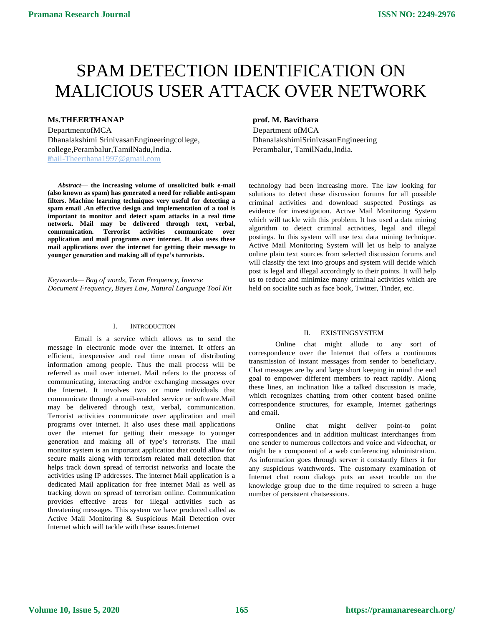# SPAM DETECTION IDENTIFICATION ON MALICIOUS USER ATTACK OVER NETWORK

# **Ms.THEERTHANAP** prof. M. Bavithara

DepartmentofMCA Department ofMCA Dhanalakshimi SrinivasanEngineeringcollege, DhanalakshimiSrinivasanEngineering college,Perambalur,TamilNadu,India. Perambalur, TamilNadu,India. [Email-Theerthana1997@gmail.com](mailto:mail-Theerthana1997@gmail.com)

*Abstract***— the increasing volume of unsolicited bulk e-mail (also known as spam) has generated a need for reliable anti-spam filters. Machine learning techniques very useful for detecting a spam email .An effective design and implementation of a tool is important to monitor and detect spam attacks in a real time network. Mail may be delivered through text, verbal, communication. Terrorist activities communicate over application and mail programs over internet. It also uses these mail applications over the internet for getting their message to younger generation and making all of type's terrorists.**

*Keywords— Bag of words, Term Frequency, Inverse Document Frequency, Bayes Law, Natural Language Tool Kit*

#### I. INTRODUCTION

Email is a service which allows us to send the message in electronic mode over the internet. It offers an efficient, inexpensive and real time mean of distributing information among people. Thus the mail process will be referred as mail over internet. Mail refers to the process of communicating, interacting and/or exchanging messages over the Internet. It involves two or more individuals that communicate through a mail-enabled service or software.Mail may be delivered through text, verbal, communication. Terrorist activities communicate over application and mail programs over internet. It also uses these mail applications over the internet for getting their message to younger generation and making all of type's terrorists. The mail monitor system is an important application that could allow for secure mails along with terrorism related mail detection that helps track down spread of terrorist networks and locate the activities using IP addresses. The internet Mail application is a dedicated Mail application for free internet Mail as well as tracking down on spread of terrorism online. Communication provides effective areas for illegal activities such as threatening messages. This system we have produced called as Active Mail Monitoring & Suspicious Mail Detection over Internet which will tackle with these issues.Internet

technology had been increasing more. The law looking for solutions to detect these discussion forums for all possible criminal activities and download suspected Postings as evidence for investigation. Active Mail Monitoring System which will tackle with this problem. It has used a data mining algorithm to detect criminal activities, legal and illegal postings. In this system will use text data mining technique. Active Mail Monitoring System will let us help to analyze online plain text sources from selected discussion forums and will classify the text into groups and system will decide which post is legal and illegal accordingly to their points. It will help us to reduce and minimize many criminal activities which are held on socialite such as face book, Twitter, Tinder, etc.

#### II. EXISTINGSYSTEM

Online chat might allude to any sort of correspondence over the Internet that offers a continuous transmission of instant messages from sender to beneficiary. Chat messages are by and large short keeping in mind the end goal to empower different members to react rapidly. Along these lines, an inclination like a talked discussion is made, which recognizes chatting from other content based online correspondence structures, for example, Internet gatherings and email.

Online chat might deliver point-to point correspondences and in addition multicast interchanges from one sender to numerous collectors and voice and videochat, or might be a component of a web conferencing administration. As information goes through server it constantly filters it for any suspicious watchwords. The customary examination of Internet chat room dialogs puts an asset trouble on the knowledge group due to the time required to screen a huge number of persistent chatsessions.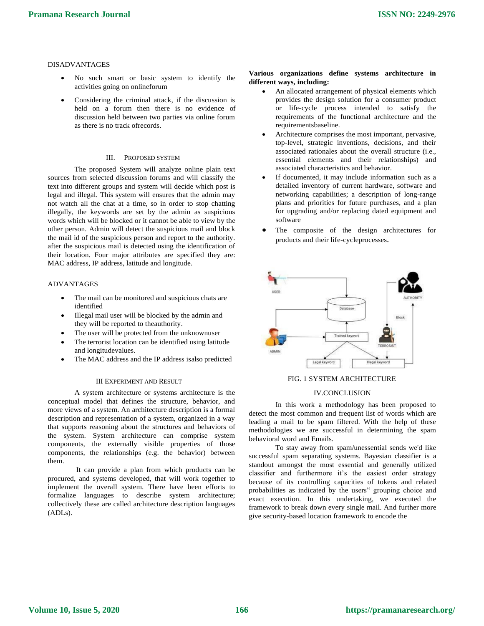#### DISADVANTAGES

- No such smart or basic system to identify the activities going on onlineforum
- Considering the criminal attack, if the discussion is held on a forum then there is no evidence of discussion held between two parties via online forum as there is no track ofrecords.

## III. PROPOSED SYSTEM

The proposed System will analyze online plain text sources from selected discussion forums and will classify the text into different groups and system will decide which post is legal and illegal. This system will ensures that the admin may not watch all the chat at a time, so in order to stop chatting illegally, the keywords are set by the admin as suspicious words which will be blocked or it cannot be able to view by the other person. Admin will detect the suspicious mail and block the mail id of the suspicious person and report to the authority. after the suspicious mail is detected using the identification of their location. Four major attributes are specified they are: MAC address, IP address, latitude and longitude.

# ADVANTAGES

- The mail can be monitored and suspicious chats are identified
- Illegal mail user will be blocked by the admin and they will be reported to theauthority.
- The user will be protected from the unknownuser
- The terrorist location can be identified using latitude and longitudevalues.
- The MAC address and the IP address isalso predicted

#### III EXPERIMENT AND RESULT

A system architecture or systems architecture is the conceptual model that defines the structure, behavior, and more views of a system. An architecture description is a formal description and representation of a system, organized in a way that supports reasoning about the structures and behaviors of the system. System architecture can comprise system components, the externally visible properties of those components, the relationships (e.g. the behavior) between them.

It can provide a plan from which products can be procured, and systems developed, that will work together to implement the overall system. There have been efforts to formalize languages to describe system architecture; collectively these are called architecture description languages (ADLs).

# **Various organizations define systems architecture in different ways, including:**

- An allocated arrangement of physical elements which provides the design solution for a consumer product or life-cycle process intended to satisfy the requirements of the functional architecture and the requirementsbaseline.
- Architecture comprises the most important, pervasive, top-level, strategic inventions, decisions, and their associated rationales about the overall structure (i.e., essential elements and their relationships) and associated characteristics and behavior.
- If documented, it may include information such as a detailed inventory of current hardware, software and networking capabilities; a description of long-range plans and priorities for future purchases, and a plan for upgrading and/or replacing dated equipment and software
- The composite of the design architectures for products and their life-cycleprocesses.



# FIG. 1 SYSTEM ARCHITECTURE

## IV.CONCLUSION

In this work a methodology has been proposed to detect the most common and frequent list of words which are leading a mail to be spam filtered. With the help of these methodologies we are successful in determining the spam behavioral word and Emails.

To stay away from spam/unessential sends we'd like successful spam separating systems. Bayesian classifier is a standout amongst the most essential and generally utilized classifier and furthermore it's the easiest order strategy because of its controlling capacities of tokens and related probabilities as indicated by the users" grouping choice and exact execution. In this undertaking, we executed the framework to break down every single mail. And further more give security-based location framework to encode the